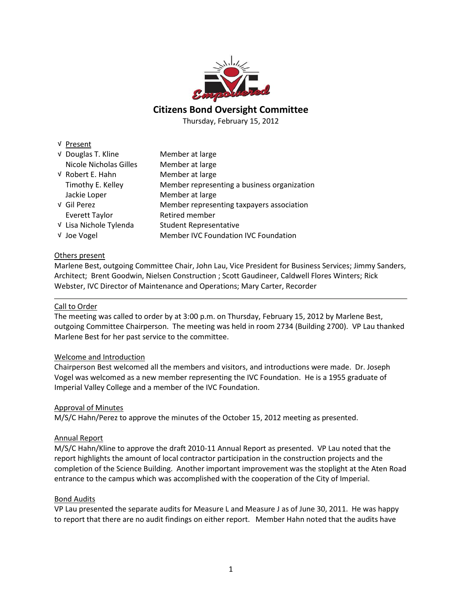

# **Citizens Bond Oversight Committee**

Thursday, February 15, 2012

#### √ Present

| √ Douglas T. Kline            | Member at large                             |
|-------------------------------|---------------------------------------------|
| <b>Nicole Nicholas Gilles</b> | Member at large                             |
| V Robert E. Hahn              | Member at large                             |
| Timothy E. Kelley             | Member representing a business organization |
| Jackie Loper                  | Member at large                             |
| √ Gil Perez                   | Member representing taxpayers association   |
| <b>Everett Taylor</b>         | Retired member                              |
| √ Lisa Nichole Tylenda        | <b>Student Representative</b>               |
| V Joe Vogel                   | Member IVC Foundation IVC Foundation        |

## Others present

Marlene Best, outgoing Committee Chair, John Lau, Vice President for Business Services; Jimmy Sanders, Architect; Brent Goodwin, Nielsen Construction ; Scott Gaudineer, Caldwell Flores Winters; Rick Webster, IVC Director of Maintenance and Operations; Mary Carter, Recorder

#### Call to Order

The meeting was called to order by at 3:00 p.m. on Thursday, February 15, 2012 by Marlene Best, outgoing Committee Chairperson. The meeting was held in room 2734 (Building 2700). VP Lau thanked Marlene Best for her past service to the committee.

## Welcome and Introduction

Chairperson Best welcomed all the members and visitors, and introductions were made. Dr. Joseph Vogel was welcomed as a new member representing the IVC Foundation. He is a 1955 graduate of Imperial Valley College and a member of the IVC Foundation.

#### Approval of Minutes

M/S/C Hahn/Perez to approve the minutes of the October 15, 2012 meeting as presented.

## Annual Report

M/S/C Hahn/Kline to approve the draft 2010-11 Annual Report as presented. VP Lau noted that the report highlights the amount of local contractor participation in the construction projects and the completion of the Science Building. Another important improvement was the stoplight at the Aten Road entrance to the campus which was accomplished with the cooperation of the City of Imperial.

#### Bond Audits

VP Lau presented the separate audits for Measure L and Measure J as of June 30, 2011. He was happy to report that there are no audit findings on either report. Member Hahn noted that the audits have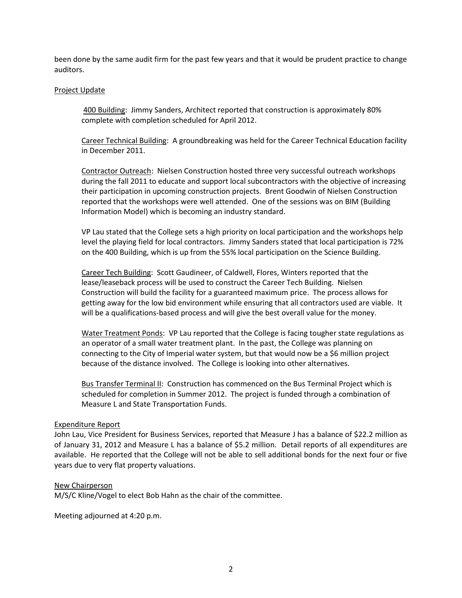been done by the same audit firm for the past few years and that it would be prudent practice to change auditors.

#### Project Update

400 Building: Jimmy Sanders, Architect reported that construction is approximately 80% complete with completion scheduled for April 2012.

Career Technical Building: A groundbreaking was held for the Career Technical Education facility in December 2011.

Contractor Outreach: Nielsen Construction hosted three very successful outreach workshops during the fall 2011 to educate and support local subcontractors with the objective of increasing their participation in upcoming construction projects. Brent Goodwin of Nielsen Construction reported that the workshops were well attended. One of the sessions was on BIM (Building Information Model) which is becoming an industry standard.

VP Lau stated that the College sets a high priority on local participation and the workshops help level the playing field for local contractors. Jimmy Sanders stated that local participation is 72% on the 400 Building, which is up from the 55% local participation on the Science Building.

Career Tech Building: Scott Gaudineer, of Caldwell, Flores, Winters reported that the lease/leaseback process will be used to construct the Career Tech Building. Nielsen Construction will build the facility for a guaranteed maximum price. The process allows for getting away for the low bid environment while ensuring that all contractors used are viable. It will be a qualifications-based process and will give the best overall value for the money.

Water Treatment Ponds: VP Lau reported that the College is facing tougher state regulations as an operator of a small water treatment plant. In the past, the College was planning on connecting to the City of Imperial water system, but that would now be a \$6 million project because of the distance involved. The College is looking into other alternatives.

Bus Transfer Terminal II: Construction has commenced on the Bus Terminal Project which is scheduled for completion in Summer 2012. The project is funded through a combination of Measure L and State Transportation Funds.

#### Expenditure Report

John Lau, Vice President for Business Services, reported that Measure J has a balance of \$22.2 million as of January 31, 2012 and Measure L has a balance of \$5.2 million. Detail reports of all expenditures are available. He reported that the College will not be able to sell additional bonds for the next four or five years due to very flat property valuations.

## New Chairperson

M/S/C Kline/Vogel to elect Bob Hahn as the chair of the committee.

Meeting adjourned at 4:20 p.m.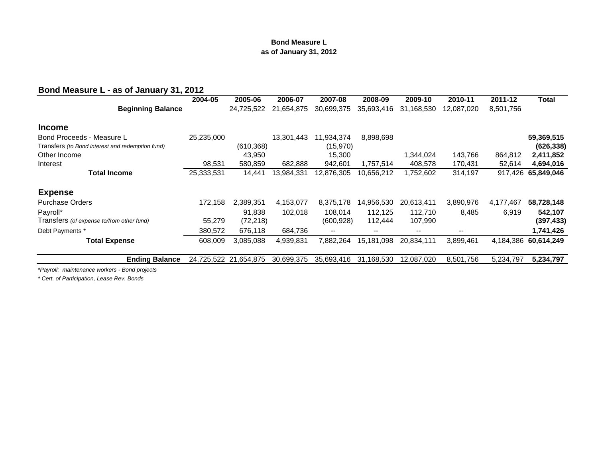#### **Bond Measure L as of January 31, 2012**

# **Bond Measure L - as of January 31, 2012**

| 2004-05    | 2005-06    | 2006-07               | 2007-08                  | 2008-09                  | 2009-10                  | 2010-11                  | 2011-12   | Total      |
|------------|------------|-----------------------|--------------------------|--------------------------|--------------------------|--------------------------|-----------|------------|
|            | 24,725,522 | 21,654,875            | 30,699,375               | 35,693,416               | 31,168,530               | 12,087,020               | 8,501,756 |            |
|            |            |                       |                          |                          |                          |                          |           |            |
| 25,235,000 |            | 13,301,443            | 11,934,374               | 8,898,698                |                          |                          |           | 59,369,515 |
|            | (610, 368) |                       | (15,970)                 |                          |                          |                          |           | (626, 338) |
|            | 43,950     |                       | 15,300                   |                          | 1,344,024                | 143,766                  | 864,812   | 2,411,852  |
| 98,531     | 580,859    | 682,888               | 942,601                  | 1,757,514                | 408,578                  | 170,431                  | 52,614    | 4,694,016  |
| 25,333,531 | 14,441     | 13,984,331            | 12,876,305               | 10,656,212               | 1,752,602                | 314,197                  | 917,426   | 65,849,046 |
|            |            |                       |                          |                          |                          |                          |           |            |
| 172.158    | 2.389.351  | 4,153,077             | 8,375,178                | 14,956,530               | 20,613,411               | 3,890,976                | 4,177,467 | 58,728,148 |
|            | 91.838     | 102.018               | 108.014                  | 112.125                  | 112,710                  | 8,485                    | 6,919     | 542,107    |
| 55,279     | (72, 218)  |                       | (600, 928)               | 112.444                  | 107,990                  |                          |           | (397, 433) |
| 380,572    | 676,118    | 684,736               | $\overline{\phantom{m}}$ | $\overline{\phantom{m}}$ | $\overline{\phantom{m}}$ | $\overline{\phantom{m}}$ |           | 1,741,426  |
| 608,009    | 3,085,088  | 4,939,831             | 7,882,264                | 15,181,098               | 20,834,111               | 3,899,461                | 4,184,386 | 60,614,249 |
|            |            | 30,699,375            | 35,693,416               | 31,168,530               | 12,087,020               | 8,501,756                | 5,234,797 | 5,234,797  |
|            |            | 24,725,522 21,654,875 |                          |                          |                          |                          |           |            |

*\*Payroll: maintenance workers - Bond projects*

*\* Cert. of Participation, Lease Rev. Bonds*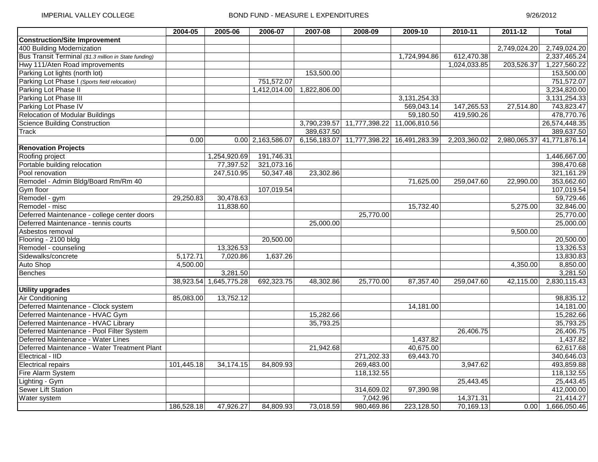|                                                       | 2004-05    | 2005-06      | 2006-07           | 2007-08      | 2008-09                    | 2009-10       | 2010-11      | $2011 - 12$  | <b>Total</b>               |
|-------------------------------------------------------|------------|--------------|-------------------|--------------|----------------------------|---------------|--------------|--------------|----------------------------|
| <b>Construction/Site Improvement</b>                  |            |              |                   |              |                            |               |              |              |                            |
| 400 Building Modernization                            |            |              |                   |              |                            |               |              | 2,749,024.20 | 2,749,024.20               |
| Bus Transit Terminal (\$1.3 million in State funding) |            |              |                   |              |                            | 1,724,994.86  | 612,470.38   |              | 2,337,465.24               |
| Hwy 111/Aten Road improvements                        |            |              |                   |              |                            |               | 1,024,033.85 | 203,526.37   | 1,227,560.22               |
| Parking Lot lights (north lot)                        |            |              |                   | 153,500.00   |                            |               |              |              | 153,500.00                 |
| Parking Lot Phase I (Sports field relocation)         |            |              | 751,572.07        |              |                            |               |              |              | 751,572.07                 |
| Parking Lot Phase II                                  |            |              | 1,412,014.00      | 1,822,806.00 |                            |               |              |              | 3,234,820.00               |
| Parking Lot Phase III                                 |            |              |                   |              |                            | 3,131,254.33  |              |              | 3,131,254.33               |
| Parking Lot Phase IV                                  |            |              |                   |              |                            | 569,043.14    | 147,265.53   | 27,514.80    | 743,823.47                 |
| <b>Relocation of Modular Buildings</b>                |            |              |                   |              |                            | 59,180.50     | 419,590.26   |              | 478,770.76                 |
| <b>Science Building Construction</b>                  |            |              |                   |              | 3,790,239.57 11,777,398.22 | 11,006,810.56 |              |              | 26,574,448.35              |
| <b>Track</b>                                          |            |              |                   | 389,637.50   |                            |               |              |              | 389,637.50                 |
|                                                       | 0.00       |              | 0.00 2,163,586.07 |              | 6,156,183.07 11,777,398.22 | 16,491,283.39 | 2,203,360.02 |              | 2,980,065.37 41,771,876.14 |
| <b>Renovation Projects</b>                            |            |              |                   |              |                            |               |              |              |                            |
| Roofing project                                       |            | 1,254,920.69 | 191,746.31        |              |                            |               |              |              | 1,446,667.00               |
| Portable building relocation                          |            | 77,397.52    | 321,073.16        |              |                            |               |              |              | 398,470.68                 |
| Pool renovation                                       |            | 247,510.95   | 50,347.48         | 23,302.86    |                            |               |              |              | 321,161.29                 |
| Remodel - Admin Bldg/Board Rm/Rm 40                   |            |              |                   |              |                            | 71,625.00     | 259,047.60   | 22,990.00    | 353,662.60                 |
| Gym floor                                             |            |              | 107,019.54        |              |                            |               |              |              | 107,019.54                 |
| Remodel - gym                                         | 29,250.83  | 30,478.63    |                   |              |                            |               |              |              | 59,729.46                  |
| Remodel - misc                                        |            | 11,838.60    |                   |              |                            | 15,732.40     |              | 5,275.00     | 32,846.00                  |
| Deferred Maintenance - college center doors           |            |              |                   |              | 25,770.00                  |               |              |              | 25,770.00                  |
| Deferred Maintenance - tennis courts                  |            |              |                   | 25,000.00    |                            |               |              |              | 25,000.00                  |
| Asbestos removal                                      |            |              |                   |              |                            |               |              | 9,500.00     |                            |
| Flooring - 2100 bldg                                  |            |              | 20,500.00         |              |                            |               |              |              | 20,500.00                  |
| Remodel - counseling                                  |            | 13,326.53    |                   |              |                            |               |              |              | 13,326.53                  |
| Sidewalks/concrete                                    | 5,172.71   | 7,020.86     | 1,637.26          |              |                            |               |              |              | 13,830.83                  |
| Auto Shop                                             | 4,500.00   |              |                   |              |                            |               |              | 4,350.00     | 8,850.00                   |
| <b>Benches</b>                                        |            | 3,281.50     |                   |              |                            |               |              |              | 3,281.50                   |
|                                                       | 38,923.54  | 1,645,775.28 | 692,323.75        | 48,302.86    | 25,770.00                  | 87,357.40     | 259,047.60   | 42,115.00    | 2,830,115.43               |
| <b>Utility upgrades</b>                               |            |              |                   |              |                            |               |              |              |                            |
| <b>Air Conditioning</b>                               | 85,083.00  | 13,752.12    |                   |              |                            |               |              |              | 98,835.12                  |
| Deferred Maintenance - Clock system                   |            |              |                   |              |                            | 14,181.00     |              |              | 14,181.00                  |
| Deferred Maintenance - HVAC Gym                       |            |              |                   | 15,282.66    |                            |               |              |              | 15,282.66                  |
| Deferred Maintenance - HVAC Library                   |            |              |                   | 35,793.25    |                            |               |              |              | 35,793.25                  |
| Deferred Maintenance - Pool Filter System             |            |              |                   |              |                            |               | 26,406.75    |              | 26,406.75                  |
| Deferred Maintenance - Water Lines                    |            |              |                   |              |                            | 1,437.82      |              |              | 1,437.82                   |
| Deferred Maintenance - Water Treatment Plant          |            |              |                   | 21,942.68    |                            | 40,675.00     |              |              | 62,617.68                  |
| Electrical - IID                                      |            |              |                   |              | 271,202.33                 | 69,443.70     |              |              | 340,646.03                 |
| <b>Electrical repairs</b>                             | 101,445.18 | 34,174.15    | 84,809.93         |              | 269,483.00                 |               | 3,947.62     |              | 493,859.88                 |
| Fire Alarm System                                     |            |              |                   |              | 118,132.55                 |               |              |              | 118,132.55                 |
| Lighting - Gym                                        |            |              |                   |              |                            |               | 25,443.45    |              | 25,443.45                  |
| Sewer Lift Station                                    |            |              |                   |              | 314,609.02                 | 97,390.98     |              |              | 412,000.00                 |
| Water system                                          |            |              |                   |              | 7,042.96                   |               | 14,371.31    |              | 21,414.27                  |
|                                                       | 186,528.18 | 47,926.27    | 84,809.93         | 73,018.59    | 980,469.86                 | 223,128.50    | 70,169.13    | 0.00         | 1,666,050.46               |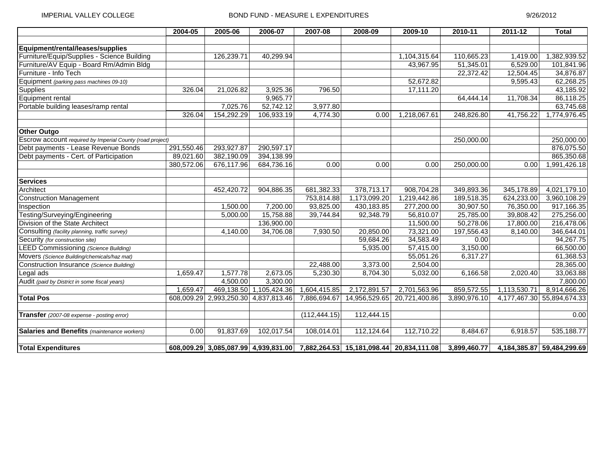|                                                           | 2004-05    | 2005-06      | 2006-07      | $2007 - 08$   | 2008-09                                                                       | 2009-10       | 2010-11      | $2011 - 12$  | <b>Total</b>               |
|-----------------------------------------------------------|------------|--------------|--------------|---------------|-------------------------------------------------------------------------------|---------------|--------------|--------------|----------------------------|
|                                                           |            |              |              |               |                                                                               |               |              |              |                            |
| Equipment/rental/leases/supplies                          |            |              |              |               |                                                                               |               |              |              |                            |
| Furniture/Equip/Supplies - Science Building               |            | 126,239.71   | 40,299.94    |               |                                                                               | 1,104,315.64  | 110,665.23   | 1,419.00     | 1,382,939.52               |
| Furniture/AV Equip - Board Rm/Admin Bldg                  |            |              |              |               |                                                                               | 43,967.95     | 51,345.01    | 6,529.00     | 101,841.96                 |
| Furniture - Info Tech                                     |            |              |              |               |                                                                               |               | 22,372.42    | 12,504.45    | 34,876.87                  |
| Equipment (parking pass machines 09-10)                   |            |              |              |               |                                                                               | 52,672.82     |              | 9,595.43     | 62,268.25                  |
| Supplies                                                  | 326.04     | 21,026.82    | 3,925.36     | 796.50        |                                                                               | 17,111.20     |              |              | 43,185.92                  |
| Equipment rental                                          |            |              | 9,965.77     |               |                                                                               |               | 64,444.14    | 11,708.34    | 86,118.25                  |
| Portable building leases/ramp rental                      |            | 7,025.76     | 52,742.12    | 3,977.80      |                                                                               |               |              |              | 63,745.68                  |
|                                                           | 326.04     | 154,292.29   | 106,933.19   | 4,774.30      | 0.00                                                                          | 1,218,067.61  | 248,826.80   | 41,756.22    | 1,774,976.45               |
| <b>Other Outgo</b>                                        |            |              |              |               |                                                                               |               |              |              |                            |
| Escrow account required by Imperial County (road project) |            |              |              |               |                                                                               |               | 250,000.00   |              | 250,000.00                 |
| Debt payments - Lease Revenue Bonds                       | 291,550.46 | 293,927.87   | 290,597.17   |               |                                                                               |               |              |              | 876,075.50                 |
| Debt payments - Cert. of Participation                    | 89,021.60  | 382,190.09   | 394,138.99   |               |                                                                               |               |              |              | 865,350.68                 |
|                                                           | 380,572.06 | 676,117.96   | 684,736.16   | 0.00          | 0.00                                                                          | 0.00          | 250,000.00   | 0.00         | 1,991,426.18               |
| <b>Services</b>                                           |            |              |              |               |                                                                               |               |              |              |                            |
| Architect                                                 |            | 452,420.72   | 904,886.35   | 681,382.33    | 378,713.17                                                                    | 908,704.28    | 349,893.36   | 345,178.89   | 4,021,179.10               |
| <b>Construction Management</b>                            |            |              |              | 753,814.88    | 1,173,099.20                                                                  | 1,219,442.86  | 189,518.35   | 624,233.00   | 3,960,108.29               |
| Inspection                                                |            | 1,500.00     | 7,200.00     | 93,825.00     | 430,183.85                                                                    | 277,200.00    | 30,907.50    | 76,350.00    | 917,166.35                 |
| Testing/Surveying/Engineering                             |            | 5,000.00     | 15,758.88    | 39,744.84     | 92,348.79                                                                     | 56,810.07     | 25,785.00    | 39,808.42    | 275,256.00                 |
| Division of the State Architect                           |            |              | 136,900.00   |               |                                                                               | 11,500.00     | 50,278.06    | 17,800.00    | 216,478.06                 |
| Consulting (facility planning, traffic survey)            |            | 4,140.00     | 34,706.08    | 7,930.50      | 20,850.00                                                                     | 73,321.00     | 197,556.43   | 8,140.00     | 346,644.01                 |
| Security (for construction site)                          |            |              |              |               | 59,684.26                                                                     | 34,583.49     | 0.00         |              | 94,267.75                  |
| <b>LEED Commissioning (Science Building)</b>              |            |              |              |               | 5,935.00                                                                      | 57,415.00     | 3,150.00     |              | 66,500.00                  |
| Movers (Science Building/chemicals/haz mat)               |            |              |              |               |                                                                               | 55,051.26     | 6,317.27     |              | 61,368.53                  |
| Construction Insurance (Science Building)                 |            |              |              | 22,488.00     | 3,373.00                                                                      | 2,504.00      |              |              | 28,365.00                  |
| Legal ads                                                 | 1,659.47   | 1,577.78     | 2,673.05     | 5,230.30      | 8,704.30                                                                      | 5,032.00      | 6,166.58     | 2,020.40     | 33,063.88                  |
| Audit (paid by District in some fiscal years)             |            | 4,500.00     | 3,300.00     |               |                                                                               |               |              |              | 7,800.00                   |
|                                                           | 1,659.47   | 469,138.50   | 1,105,424.36 | 1,604,415.85  | 2,172,891.57                                                                  | 2,701,563.96  | 859,572.55   | 1,113,530.71 | 8,914,666.26               |
| <b>Total Pos</b>                                          | 608,009.29 | 2,993,250.30 | 4,837,813.46 | 7,886,694.67  | 14,956,529.65                                                                 | 20,721,400.86 | 3,890,976.10 | 4,177,467.30 | 55,894,674.33              |
| Transfer (2007-08 expense - posting error)                |            |              |              | (112, 444.15) | 112,444.15                                                                    |               |              |              | 0.00                       |
| Salaries and Benefits (maintenance workers)               | 0.00       | 91,837.69    | 102,017.54   | 108,014.01    | 112,124.64                                                                    | 112,710.22    | 8,484.67     | 6,918.57     | 535,188.77                 |
| <b>Total Expenditures</b>                                 |            |              |              |               | 608,009.29 3,085,087.99 4,939,831.00 7,882,264.53 15,181,098.44 20,834,111.08 |               | 3,899,460.77 |              | 4,184,385.87 59,484,299.69 |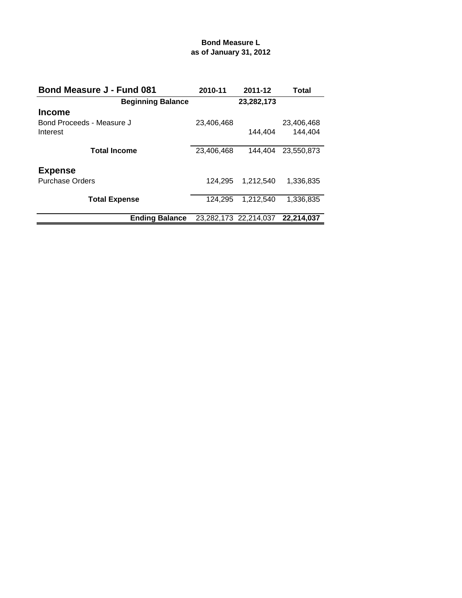# **Bond Measure L as of January 31, 2012**

| <b>Bond Measure J - Fund 081</b> | 2010-11    | 2011-12               | Total      |
|----------------------------------|------------|-----------------------|------------|
| <b>Beginning Balance</b>         |            | 23,282,173            |            |
| <b>Income</b>                    |            |                       |            |
| Bond Proceeds - Measure J        | 23,406,468 |                       | 23,406,468 |
| Interest                         |            | 144.404               | 144.404    |
|                                  |            |                       |            |
| <b>Total Income</b>              | 23,406,468 | 144.404               | 23.550.873 |
| <b>Expense</b>                   |            |                       |            |
| <b>Purchase Orders</b>           | 124.295    | 1.212.540             | 1,336,835  |
|                                  |            |                       |            |
| <b>Total Expense</b>             | 124.295    | 1.212.540             | 1,336,835  |
|                                  |            |                       |            |
| <b>Ending Balance</b>            |            | 23,282,173 22,214,037 | 22.214.037 |